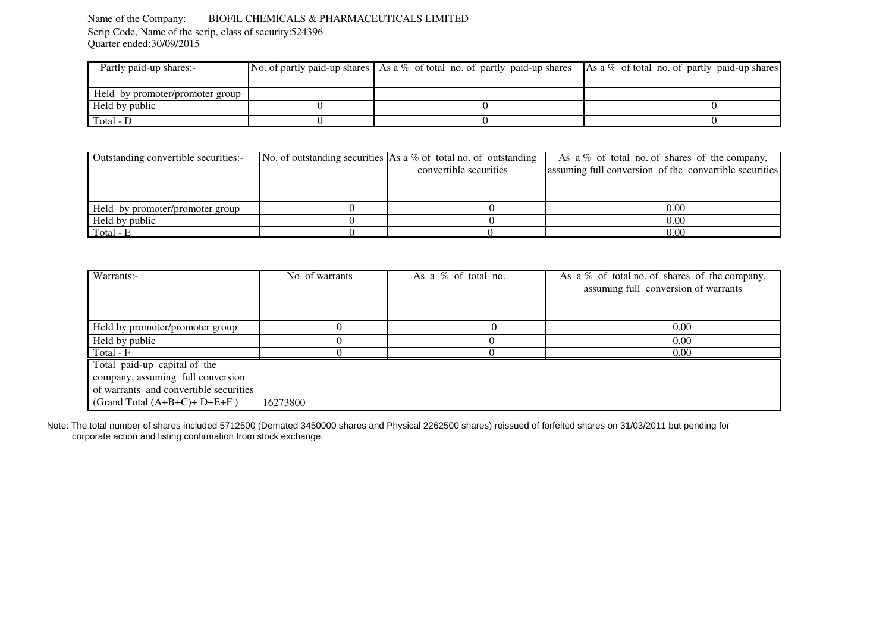#### Name of the Company: BIOFIL CHEMICALS & PHARMACEUTICALS LIMITEDScrip Code, Name of the scrip, class of security: 524396 Quarter ended: 30/09/2015

| Partly paid-up shares:-         | No. of partly paid-up shares As a % of total no. of partly paid-up shares As a % of total no. of partly paid-up shares |  |
|---------------------------------|------------------------------------------------------------------------------------------------------------------------|--|
|                                 |                                                                                                                        |  |
| Held by promoter/promoter group |                                                                                                                        |  |
| Held by public                  |                                                                                                                        |  |
| Total - D                       |                                                                                                                        |  |
|                                 |                                                                                                                        |  |

|                        | As a $\%$ of total no. of shares of the company,                         |
|------------------------|--------------------------------------------------------------------------|
| convertible securities | assuming full conversion of the convertible securities                   |
|                        |                                                                          |
|                        |                                                                          |
|                        | 0.00                                                                     |
|                        | 0.00                                                                     |
|                        | 0.00                                                                     |
|                        | No. of outstanding securities $\vert$ As a % of total no. of outstanding |

| Warrants:-                             | No. of warrants | As a $%$ of total no. | As a $\%$ of total no. of shares of the company,<br>assuming full conversion of warrants |
|----------------------------------------|-----------------|-----------------------|------------------------------------------------------------------------------------------|
|                                        |                 |                       |                                                                                          |
| Held by promoter/promoter group        |                 |                       | 0.00                                                                                     |
| Held by public                         |                 |                       | 0.00                                                                                     |
| Total - F                              |                 |                       | 0.00                                                                                     |
| Total paid-up capital of the           |                 |                       |                                                                                          |
| company, assuming full conversion      |                 |                       |                                                                                          |
| of warrants and convertible securities |                 |                       |                                                                                          |
| (Grand Total $(A+B+C)+D+E+F$ )         | 16273800        |                       |                                                                                          |

Note: The total number of shares included 5712500 (Demated 3450000 shares and Physical 2262500 shares) reissued of forfeited shares on 31/03/2011 but pending for corporate action and listing confirmation from stock exchange.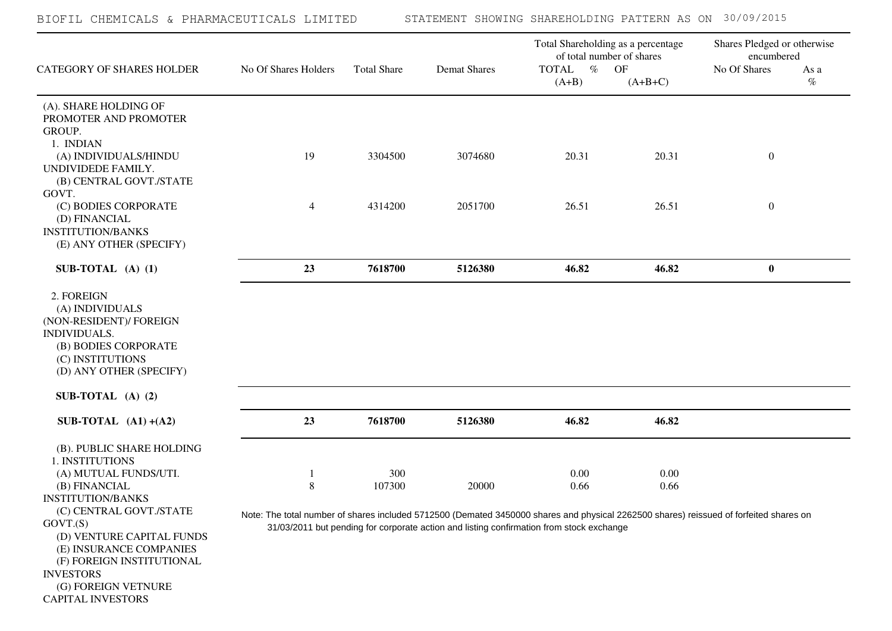| CATEGORY OF SHARES HOLDER                                                                                                                              | No Of Shares Holders                                                                                                                   | <b>Total Share</b> | <b>Demat Shares</b>                                                                      | Total Shareholding as a percentage<br>of total number of shares<br>$\%$<br><b>TOTAL</b> | OF           | Shares Pledged or otherwise<br>encumbered<br>No Of Shares | As a<br>$\%$ |
|--------------------------------------------------------------------------------------------------------------------------------------------------------|----------------------------------------------------------------------------------------------------------------------------------------|--------------------|------------------------------------------------------------------------------------------|-----------------------------------------------------------------------------------------|--------------|-----------------------------------------------------------|--------------|
|                                                                                                                                                        |                                                                                                                                        |                    |                                                                                          | $(A+B)$                                                                                 | $(A+B+C)$    |                                                           |              |
| (A). SHARE HOLDING OF<br>PROMOTER AND PROMOTER<br>GROUP.<br>1. INDIAN                                                                                  |                                                                                                                                        |                    |                                                                                          |                                                                                         |              |                                                           |              |
| (A) INDIVIDUALS/HINDU<br>UNDIVIDEDE FAMILY.<br>(B) CENTRAL GOVT./STATE<br>GOVT.                                                                        | 19                                                                                                                                     | 3304500            | 3074680                                                                                  | 20.31                                                                                   | 20.31        | $\boldsymbol{0}$                                          |              |
| (C) BODIES CORPORATE<br>(D) FINANCIAL<br><b>INSTITUTION/BANKS</b><br>(E) ANY OTHER (SPECIFY)                                                           | $\overline{4}$                                                                                                                         | 4314200            | 2051700                                                                                  | 26.51                                                                                   | 26.51        | $\boldsymbol{0}$                                          |              |
| SUB-TOTAL $(A)$ $(1)$                                                                                                                                  | 23                                                                                                                                     | 7618700            | 5126380                                                                                  | 46.82                                                                                   | 46.82        | $\bf{0}$                                                  |              |
| 2. FOREIGN<br>(A) INDIVIDUALS<br>(NON-RESIDENT)/ FOREIGN<br><b>INDIVIDUALS.</b><br>(B) BODIES CORPORATE<br>(C) INSTITUTIONS<br>(D) ANY OTHER (SPECIFY) |                                                                                                                                        |                    |                                                                                          |                                                                                         |              |                                                           |              |
| SUB-TOTAL $(A)$ $(2)$                                                                                                                                  |                                                                                                                                        |                    |                                                                                          |                                                                                         |              |                                                           |              |
| SUB-TOTAL $(A1) + (A2)$                                                                                                                                | 23                                                                                                                                     | 7618700            | 5126380                                                                                  | 46.82                                                                                   | 46.82        |                                                           |              |
| (B). PUBLIC SHARE HOLDING<br>1. INSTITUTIONS<br>(A) MUTUAL FUNDS/UTI.                                                                                  | 8                                                                                                                                      | 300<br>107300      | 20000                                                                                    | 0.00<br>0.66                                                                            | 0.00<br>0.66 |                                                           |              |
| (B) FINANCIAL<br><b>INSTITUTION/BANKS</b><br>(C) CENTRAL GOVT./STATE<br>GOVT.(S)<br>(D) VENTURE CAPITAL FUNDS                                          | Note: The total number of shares included 5712500 (Demated 3450000 shares and physical 2262500 shares) reissued of forfeited shares on |                    | 31/03/2011 but pending for corporate action and listing confirmation from stock exchange |                                                                                         |              |                                                           |              |
| (E) INSURANCE COMPANIES<br>(F) FOREIGN INSTITUTIONAL<br><b>INVESTORS</b>                                                                               |                                                                                                                                        |                    |                                                                                          |                                                                                         |              |                                                           |              |

 (G) FOREIGN VETNURE CAPITAL INVESTORS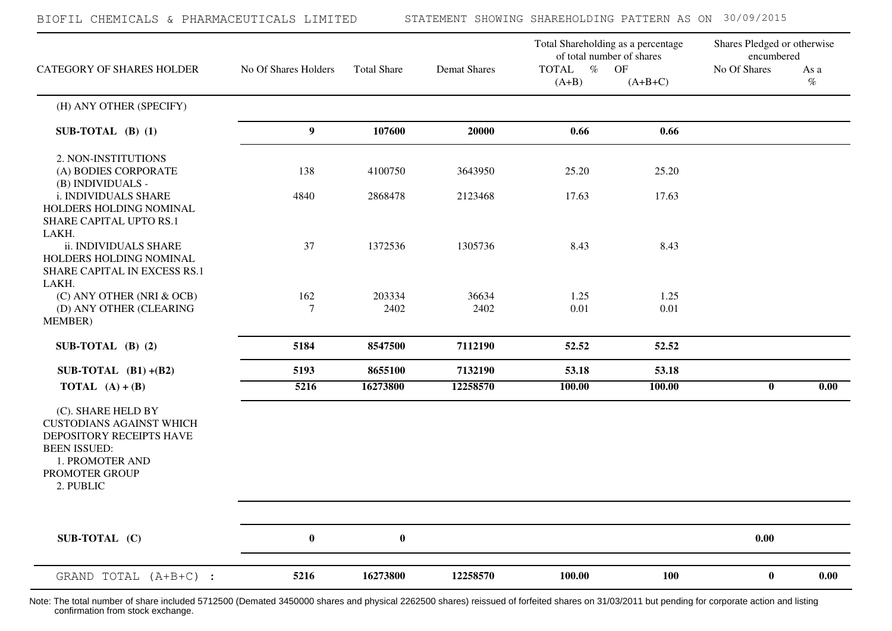| BIOFIL CHEMICALS & PHARMACEUTICALS LIMITED                                                                                                                 |                       |                    |                     | STATEMENT SHOWING SHAREHOLDING PATTERN AS ON 30/09/2015                                            |                 |                                                           |                   |
|------------------------------------------------------------------------------------------------------------------------------------------------------------|-----------------------|--------------------|---------------------|----------------------------------------------------------------------------------------------------|-----------------|-----------------------------------------------------------|-------------------|
| <b>CATEGORY OF SHARES HOLDER</b>                                                                                                                           | No Of Shares Holders  | <b>Total Share</b> | <b>Demat Shares</b> | Total Shareholding as a percentage<br>of total number of shares<br>$\%$<br><b>TOTAL</b><br>$(A+B)$ | OF<br>$(A+B+C)$ | Shares Pledged or otherwise<br>encumbered<br>No Of Shares | As a<br>$\%$      |
| (H) ANY OTHER (SPECIFY)                                                                                                                                    |                       |                    |                     |                                                                                                    |                 |                                                           |                   |
| SUB-TOTAL $(B)$ (1)                                                                                                                                        | 9                     | 107600             | 20000               | 0.66                                                                                               | 0.66            |                                                           |                   |
| 2. NON-INSTITUTIONS<br>(A) BODIES CORPORATE<br>(B) INDIVIDUALS -                                                                                           | 138                   | 4100750            | 3643950             | 25.20                                                                                              | 25.20           |                                                           |                   |
| i. INDIVIDUALS SHARE<br>HOLDERS HOLDING NOMINAL<br>SHARE CAPITAL UPTO RS.1<br>LAKH.                                                                        | 4840                  | 2868478            | 2123468             | 17.63                                                                                              | 17.63           |                                                           |                   |
| ii. INDIVIDUALS SHARE<br>HOLDERS HOLDING NOMINAL<br>SHARE CAPITAL IN EXCESS RS.1<br>LAKH.                                                                  | 37                    | 1372536            | 1305736             | 8.43                                                                                               | 8.43            |                                                           |                   |
| (C) ANY OTHER (NRI & OCB)<br>(D) ANY OTHER (CLEARING<br>MEMBER)                                                                                            | 162<br>$\overline{7}$ | 203334<br>2402     | 36634<br>2402       | 1.25<br>0.01                                                                                       | 1.25<br>0.01    |                                                           |                   |
| SUB-TOTAL $(B)$ (2)                                                                                                                                        | 5184                  | 8547500            | 7112190             | 52.52                                                                                              | 52.52           |                                                           |                   |
| SUB-TOTAL $(B1)+(B2)$                                                                                                                                      | 5193                  | 8655100            | 7132190             | 53.18                                                                                              | 53.18           |                                                           |                   |
| <b>TOTAL</b> $(A) + (B)$                                                                                                                                   | 5216                  | 16273800           | 12258570            | 100.00                                                                                             | 100.00          | $\mathbf{0}$                                              | $\overline{0.00}$ |
| (C). SHARE HELD BY<br><b>CUSTODIANS AGAINST WHICH</b><br>DEPOSITORY RECEIPTS HAVE<br><b>BEEN ISSUED:</b><br>1. PROMOTER AND<br>PROMOTER GROUP<br>2. PUBLIC |                       |                    |                     |                                                                                                    |                 |                                                           |                   |
| SUB-TOTAL (C)                                                                                                                                              | $\bf{0}$              | $\bf{0}$           |                     |                                                                                                    |                 | 0.00                                                      |                   |
| GRAND TOTAL (A+B+C) :                                                                                                                                      | 5216                  | 16273800           | 12258570            | 100.00                                                                                             | <b>100</b>      | $\bf{0}$                                                  | 0.00              |

Note: The total number of share included 5712500 (Demated 3450000 shares and physical 2262500 shares) reissued of forfeited shares on 31/03/2011 but pending for corporate action and listing confirmation from stock exchange.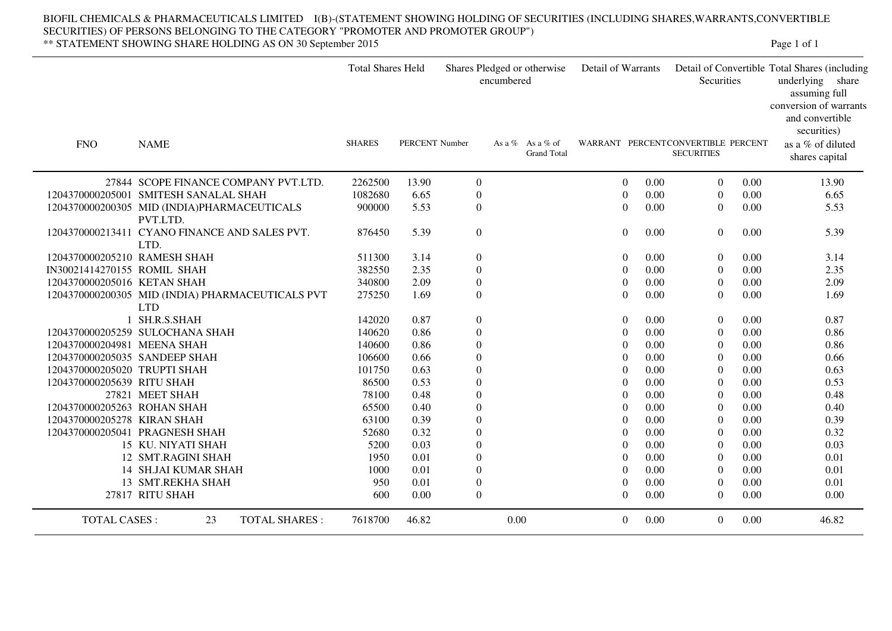#### BIOFIL CHEMICALS & PHARMACEUTICALS LIMITED I(B)-(STATEMENT SHOWING HOLDING OF SECURITIES (INCLUDING SHARES,WARRANTS,CONVERTIBLE SECURITIES) OF PERSONS BELONGING TO THE CATEGORY "PROMOTER AND PROMOTER GROUP")\*\* STATEMENT SHOWING SHARE HOLDING AS ON 30 September 2015Page 1 of 1

Total Shares Held Shares Pledged or otherwise encumberedDetail of Warrants Detail of Convertible Total Shares (including underlying share assuming full conversion of warrants and convertible securities)**Securities**  FNOO NAME SHARES PERCENT Number As a % As a % of Grand Tot. Grand TotalWARRANT PERCENTCONVERTIBLE PERCENT **SECURITIES**  as a % of diluted shares capital27844 SCOPE FINANCE COMPANY PVT.LTD. 2262500 13.90 0 0 0 0.00 0.00 13.90 1204370000205001 SMITESH SANALAL SHAH 1082680 6.65 0 0 0 0.00 0.00 6.65 1204370000200305 MID (INDIA)PHARMACEUTICALS PVT.LTD.900000 5.53 0 0 0.00 0 0 0.00 0.00 5.53 1204370000213411 CYANO FINANCE AND SALES PVT. LTD.1204370000205210 RAMESH SHAH 511300 3.14 0 0 0.00 0 0.00 876450 5.39 0 0 0 0.00 0.00 5.39 0.00 0.00 3.14 IN30021414270155 ROMIL SHAH 382550 2.35 0 0 0 0.00 0.00 2.35 1204370000205016 KETAN SHAH 340800 2.09 0 0 0 0.00 0.00 2.09 1204370000200305 MID (INDIA) PHARMACEUTICALS PVT LTD 1 SH.R.S.SHAH 142020 0.87 0 0 0275250 1.69 0 0 0 0.00 0.00 1.69 0.00 0.00 0.87 1204370000205259 SULOCHANA SHAH 140620 0.86 0 0 0 0.00 0.00 0.86 1204370000204981 MEENA SHAH 140600 0.86 0 0 0 0.00 0.00 0.86 1204370000205035 SANDEEP SHAH 106600 0.66 0 0 0 0.00 0.00 0.66 1204370000205020 TRUPTI SHAH 101750 0.63 0 0 0 0.00 0.00 0.63 1204370000205639 RITU SHAH $\rm H$  86500 0.53 0 0.00 0.00 0.53 0 0.00 27821 MEET SHAH 78100 0.48 0 0 0 0.00 0.00 0.48 1204370000205263 ROHAN SHAH 65500 0.40 0 0 0 0.00 0.00 0.40 1204370000205278 KIRAN SHAH 63100 0.39 0 0 0 0.00 0.00 0.39 1204370000205041 PRAGNESH SHAH 52680 0.32 0 0 0 0.00 0.00 0.32 15 KU. NIYATI SHAH 5200 0.03 0 0 0 0.00 0.00 0.03 12 SMT.RAGINI SHAH 1950 0.01 0 0 0 0.00 0.00 0.01 14 SH.JAI KUMAR SHAH 1000 0.01 0 0 0.01 0 0.00 0 0.01 0.00 0.00 0.01 13 SMT.REKHA SHAH 950 0.01 0 0 0 0.00 0.00 0.01 27817 RITU SHAH $\rm H$  600 0.00 0 0 0.00 0 0.00 0.00 0.00 TOTAL CASES : 233 TOTAL SHARES : 7618700 46.82 0.00 0 0.00 0 0.00 0 0.00 46.82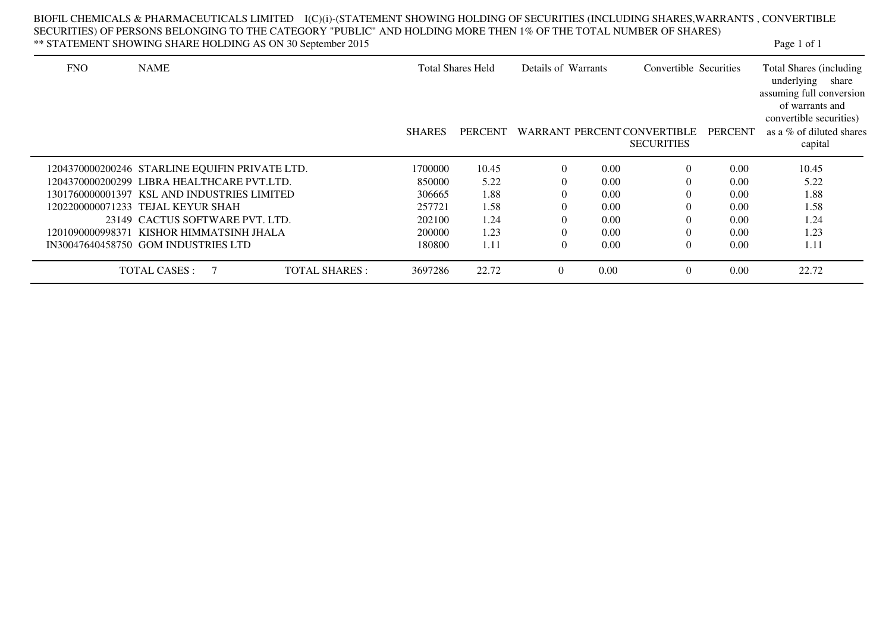|            | ** STATEMENT SHOWING SHARE HOLDING AS ON 30 September 2015 |               |                          |          |                                               |                             |                | Page 1 of 1                                                                                                            |
|------------|------------------------------------------------------------|---------------|--------------------------|----------|-----------------------------------------------|-----------------------------|----------------|------------------------------------------------------------------------------------------------------------------------|
| <b>FNO</b> | <b>NAME</b>                                                |               | <b>Total Shares Held</b> |          | Details of Warrants<br>Convertible Securities |                             |                | Total Shares (including)<br>underlying share<br>assuming full conversion<br>of warrants and<br>convertible securities) |
|            |                                                            | <b>SHARES</b> | PERCENT                  |          |                                               | WARRANT PERCENT CONVERTIBLE | <b>PERCENT</b> | as a % of diluted shares                                                                                               |
|            |                                                            |               |                          |          |                                               | <b>SECURITIES</b>           |                | capital                                                                                                                |
|            | 1204370000200246 STARLINE EQUIFIN PRIVATE LTD.             | 1700000       | 10.45                    | $\Omega$ | 0.00                                          | $\Omega$                    | 0.00           | 10.45                                                                                                                  |
|            | 1204370000200299 LIBRA HEALTHCARE PVT.LTD.                 | 850000        | 5.22                     |          | 0.00                                          | $\Omega$                    | 0.00           | 5.22                                                                                                                   |
|            | 1301760000001397 KSL AND INDUSTRIES LIMITED                | 306665        | 1.88                     |          | 0.00                                          | $\Omega$                    | 0.00           | 1.88                                                                                                                   |
|            | 1202200000071233 TEJAL KEYUR SHAH                          | 257721        | 1.58                     |          | 0.00                                          | $\Omega$                    | 0.00           | 1.58                                                                                                                   |
|            | 23149 CACTUS SOFTWARE PVT. LTD.                            | 202100        | 1.24                     |          | 0.00                                          | $\left($                    | 0.00           | 1.24                                                                                                                   |
|            | 1201090000998371 KISHOR HIMMATSINH JHALA                   | 200000        | 1.23                     |          | 0.00                                          | $\Omega$                    | 0.00           | 1.23                                                                                                                   |
|            | IN30047640458750 GOM INDUSTRIES LTD                        | 180800        | 1.11                     | $\Omega$ | 0.00                                          | $\theta$                    | 0.00           | 1.11                                                                                                                   |

TOTAL SHARES : 3697286 22.72 0 0.00 0 0.00 22.72

TOTAL CASES : 7 TOTAL SHARES : 3697286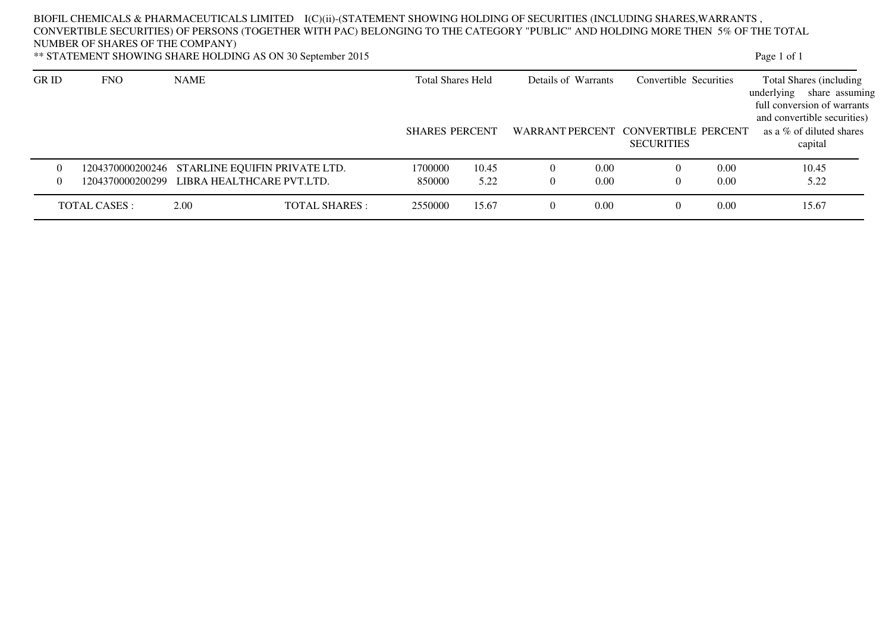### BIOFIL CHEMICALS & PHARMACEUTICALS LIMITED I(C)(ii)-(STATEMENT SHOWING HOLDING OF SECURITIES (INCLUDING SHARES,WARRANTS , CONVERTIBLE SECURITIES) OF PERSONS (TOGETHER WITH PAC) BELONGING TO THE CATEGORY "PUBLIC" AND HOLDING MORE THEN 5% OF THE TOTAL NUMBER OF SHARES OF THE COMPANY)Page 1 of 1

\*\* STATEMENT SHOWING SHARE HOLDING AS ON 30 September 2015

| <b>GR ID</b>   | <b>FNO</b>    | <b>NAME</b>                                    |                      | <b>Total Shares Held</b> |       | Details of Warrants |      | Convertible Securities                                   |      | Total Shares (including)<br>underlying<br>share assuming<br>full conversion of warrants<br>and convertible securities) |
|----------------|---------------|------------------------------------------------|----------------------|--------------------------|-------|---------------------|------|----------------------------------------------------------|------|------------------------------------------------------------------------------------------------------------------------|
|                |               |                                                |                      | <b>SHARES PERCENT</b>    |       |                     |      | WARRANT PERCENT CONVERTIBLE PERCENT<br><b>SECURITIES</b> |      | as a $\%$ of diluted shares<br>capital                                                                                 |
| $\overline{0}$ |               | 1204370000200246 STARLINE EQUIFIN PRIVATE LTD. |                      | 1700000                  | 10.45 |                     | 0.00 | $\theta$                                                 | 0.00 | 10.45                                                                                                                  |
| $\Omega$       |               | 1204370000200299 LIBRA HEALTHCARE PVT.LTD.     |                      | 850000                   | 5.22  | $\mathbf{0}$        | 0.00 | $\Omega$                                                 | 0.00 | 5.22                                                                                                                   |
|                | TOTAL CASES : | 2.00                                           | <b>TOTAL SHARES:</b> | 2550000                  | 15.67 | $\left($            | 0.00 | $\Omega$                                                 | 0.00 | 15.67                                                                                                                  |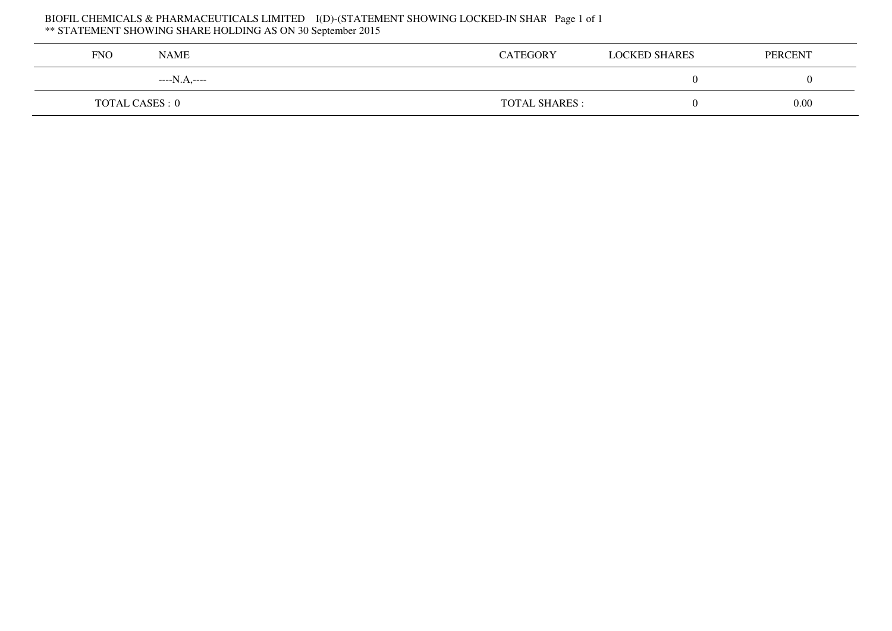# BIOFIL CHEMICALS & PHARMACEUTICALS LIMITED I(D)-(STATEMENT SHOWING LOCKED-IN SHAR Page 1 of 1<br>\*\* STATEMENT SHOWING SHARE HOLDING AS ON 30 September 2015

| <b>FNO</b>             | NAME         | <b>CATEGORY</b>       | <b>LOCKED SHARES</b> | <b>PERCENT</b> |
|------------------------|--------------|-----------------------|----------------------|----------------|
|                        | ----N.A,---- |                       |                      |                |
| <b>TOTAL CASES : 0</b> |              | <b>TOTAL SHARES :</b> |                      | 0.00           |